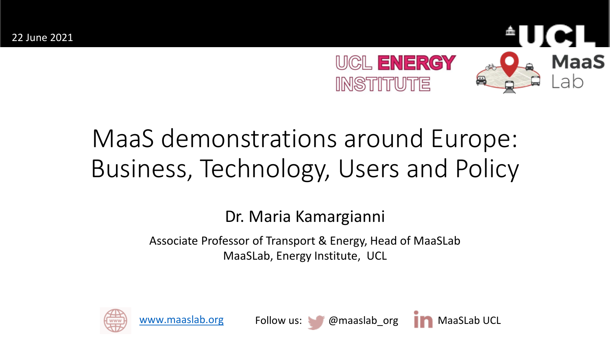

# MaaS demonstrations around Europe: Business, Technology, Users and Policy

Dr. Maria Kamargianni

Associate Professor of Transport & Energy, Head of MaaSLab MaaSLab, Energy Institute, UCL







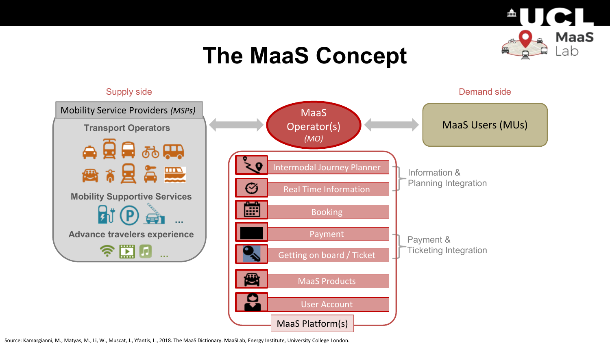

# **The MaaS Concept**

### Supply side **Demand side** Demand side Mobility Service Providers *(MSPs)* **MaaS** MaaS Users (MUs) Operator(s) **Transport Operators** *(MO)* 会员最弱要 C Intermodal Journey Planner ● 8 × 星 毎 黒 Information & Planning Integration Ø Real Time Information **Mobility Supportive Services** 圃  $\mathbf{H}(\mathbf{P})$ **Booking … Advance travelers experience** Payment Payment & **……图**…… Ticketing Integration Getting on board / Ticket 働 MaaS Products9 User Account MaaS Platform(s)

Source: Kamargianni, M., Matyas, M., Li, W., Muscat, J., Yfantis, L., 2018. The MaaS Dictionary. MaaSLab, Energy Institute, University College London.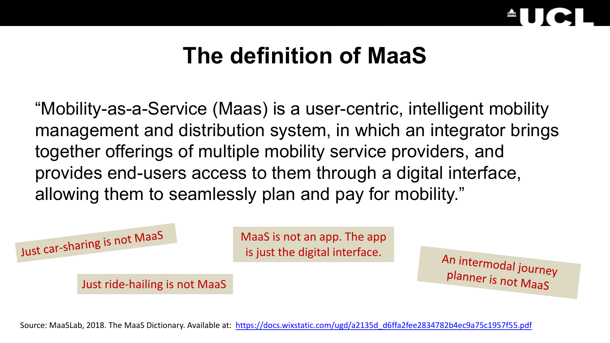

## **The definition of MaaS**

"Mobility-as-a-Service (Maas) is a user-centric, intelligent mobility management and distribution system, in which an integrator brings together offerings of multiple mobility service providers, and provides end-users access to them through a digital interface, allowing them to seamlessly plan and pay for mobility."



Source: MaaSLab, 2018. The MaaS Dictionary. Available at: [https://docs.wixstatic.com/ugd/a2135d\\_d6ffa2fee2834782b4ec9a75c1957f55.pdf](https://docs.wixstatic.com/ugd/a2135d_d6ffa2fee2834782b4ec9a75c1957f55.pdf)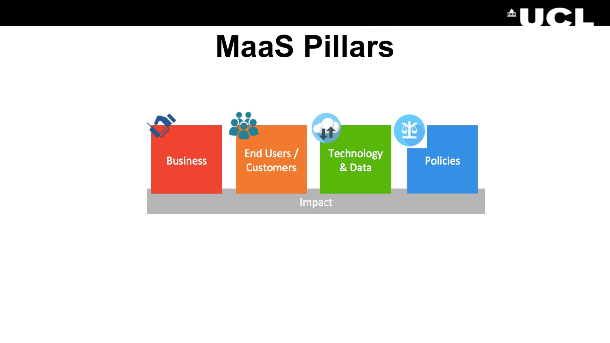

# **MaaS Pillars**

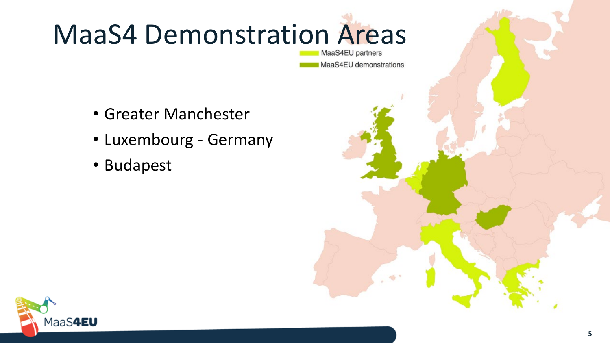

# MaaS4EU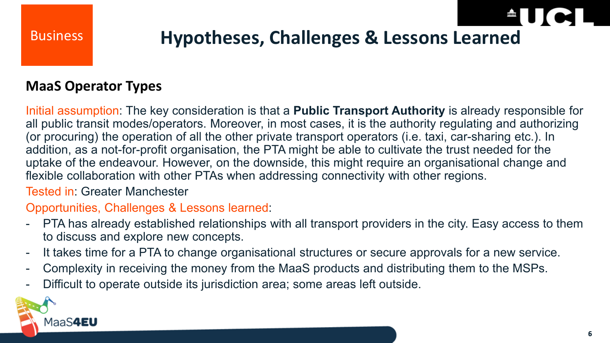

### Business **Hypotheses, Challenges & Lessons Learned**

### **MaaS Operator Types**

Initial assumption: The key consideration is that a **Public Transport Authority** is already responsible for all public transit modes/operators. Moreover, in most cases, it is the authority regulating and authorizing (or procuring) the operation of all the other private transport operators (i.e. taxi, car-sharing etc.). In addition, as a not-for-profit organisation, the PTA might be able to cultivate the trust needed for the uptake of the endeavour. However, on the downside, this might require an organisational change and flexible collaboration with other PTAs when addressing connectivity with other regions.

Tested in: Greater Manchester

### Opportunities, Challenges & Lessons learned:

- PTA has already established relationships with all transport providers in the city. Easy access to them to discuss and explore new concepts.
- It takes time for a PTA to change organisational structures or secure approvals for a new service.
- Complexity in receiving the money from the MaaS products and distributing them to the MSPs.
- Difficult to operate outside its jurisdiction area; some areas left outside.

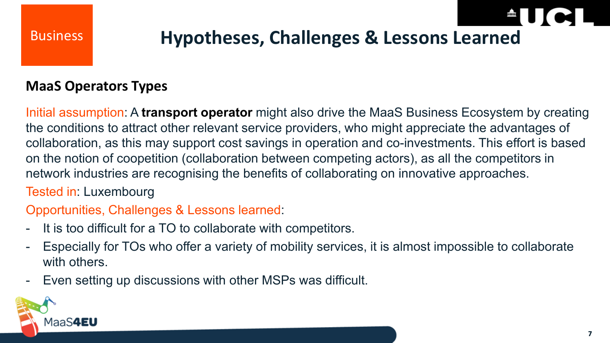

### Business **Hypotheses, Challenges & Lessons Learned**

### **MaaS Operators Types**

Initial assumption: A **transport operator** might also drive the MaaS Business Ecosystem by creating the conditions to attract other relevant service providers, who might appreciate the advantages of collaboration, as this may support cost savings in operation and co-investments. This effort is based on the notion of coopetition (collaboration between competing actors), as all the competitors in network industries are recognising the benefits of collaborating on innovative approaches.

### Tested in: Luxembourg

### Opportunities, Challenges & Lessons learned:

- It is too difficult for a TO to collaborate with competitors.
- Especially for TOs who offer a variety of mobility services, it is almost impossible to collaborate with others.
- Even setting up discussions with other MSPs was difficult.

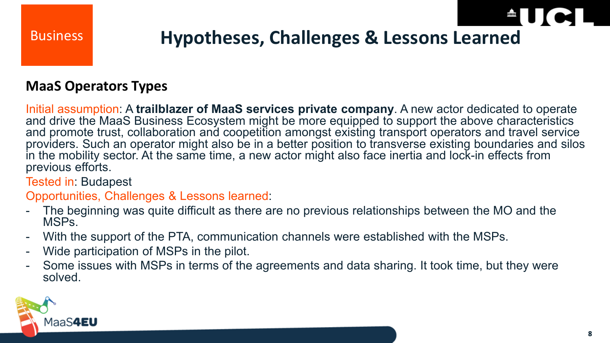### Business **Hypotheses, Challenges & Lessons Learned**

### **MaaS Operators Types**

Initial assumption: A **trailblazer of MaaS services private company**. A new actor dedicated to operate and drive the MaaS Business Ecosystem might be more equipped to support the above characteristics and promote trust, collaboration and coopetition amongst existing transport operators and travel service providers. Such an operator might also be in a better position to transverse existing boundaries and silos in the mobility sector. At the same time, a new actor might also face inertia and lock-in effects from previous efforts.

Tested in: Budapest

Opportunities, Challenges & Lessons learned:

- The beginning was quite difficult as there are no previous relationships between the MO and the MSPs.
- With the support of the PTA, communication channels were established with the MSPs.
- Wide participation of MSPs in the pilot.
- Some issues with MSPs in terms of the agreements and data sharing. It took time, but they were solved.

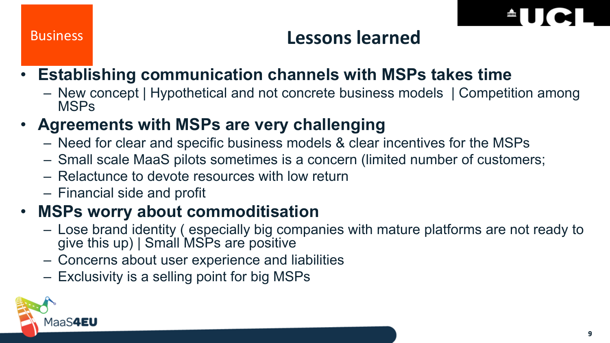

### Business **Lessons learned**

### • **Establishing communication channels with MSPs takes time**

– New concept | Hypothetical and not concrete business models | Competition among MSPs

### • **Agreements with MSPs are very challenging**

- Need for clear and specific business models & clear incentives for the MSPs
- Small scale MaaS pilots sometimes is a concern (limited number of customers;
- Relactunce to devote resources with low return
- Financial side and profit

### • **MSPs worry about commoditisation**

- Lose brand identity ( especially big companies with mature platforms are not ready to give this up) | Small MSPs are positive
- Concerns about user experience and liabilities
- Exclusivity is a selling point for big MSPs

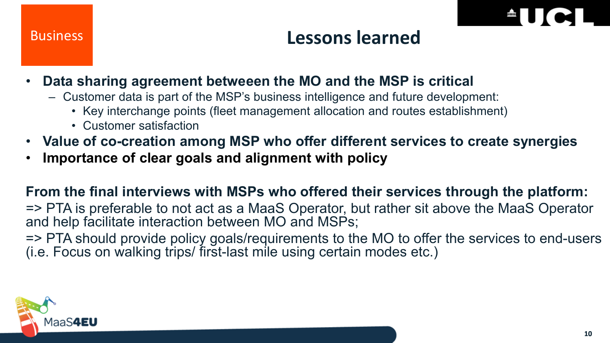

### Business **Lessons learned**

- **Data sharing agreement betweeen the MO and the MSP is critical**
	- Customer data is part of the MSP's business intelligence and future development:
		- Key interchange points (fleet management allocation and routes establishment)
		- Customer satisfaction
- **Value of co-creation among MSP who offer different services to create synergies**
- **Importance of clear goals and alignment with policy**

### **From the final interviews with MSPs who offered their services through the platform:**

=> PTA is preferable to not act as a MaaS Operator, but rather sit above the MaaS Operator and help facilitate interaction between MO and MSPs;

=> PTA should provide policy goals/requirements to the MO to offer the services to end-users (i.e. Focus on walking trips/ first-last mile using certain modes etc.)

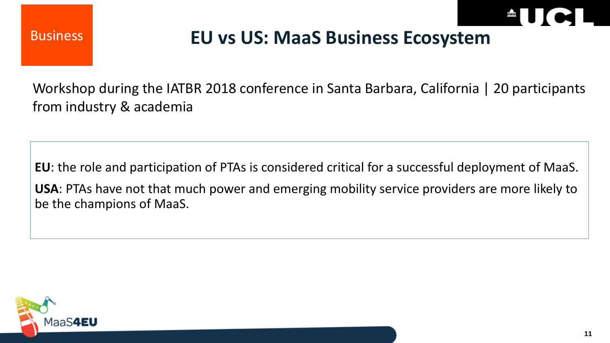Business



### **EU vs US: MaaS Business Ecosystem**

Workshop during the IATBR 2018 conference in Santa Barbara, California | 20 participants from industry & academia

**EU**: the role and participation of PTAs is considered critical for a successful deployment of MaaS. **USA**: PTAs have not that much power and emerging mobility service providers are more likely to be the champions of MaaS.

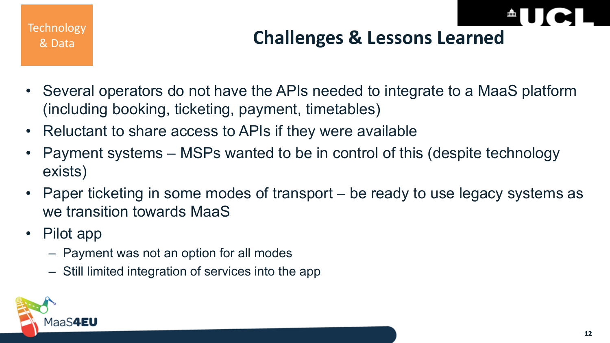

# **Challenges & Lessons Learned** Technology

- Several operators do not have the APIs needed to integrate to a MaaS platform (including booking, ticketing, payment, timetables)
- Reluctant to share access to APIs if they were available
- Payment systems MSPs wanted to be in control of this (despite technology exists)
- Paper ticketing in some modes of transport be ready to use legacy systems as we transition towards MaaS
- Pilot app
	- Payment was not an option for all modes
	- Still limited integration of services into the app

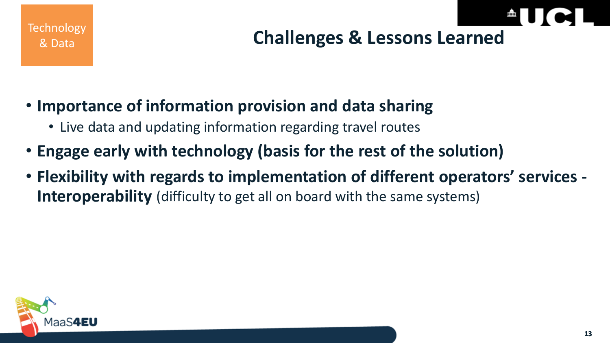



- **Importance of information provision and data sharing**
	- Live data and updating information regarding travel routes
- **Engage early with technology (basis for the rest of the solution)**
- **Flexibility with regards to implementation of different operators' services - Interoperability** (difficulty to get all on board with the same systems)

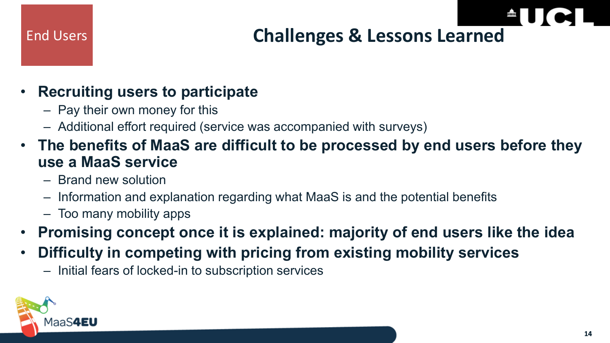# End Users **Challenges & Lessons Learned**

### • **Recruiting users to participate**

- Pay their own money for this
- Additional effort required (service was accompanied with surveys)
- **The benefits of MaaS are difficult to be processed by end users before they use a MaaS service**
	- Brand new solution
	- Information and explanation regarding what MaaS is and the potential benefits
	- Too many mobility apps
- **Promising concept once it is explained: majority of end users like the idea**
- **Difficulty in competing with pricing from existing mobility services**
	- Initial fears of locked-in to subscription services

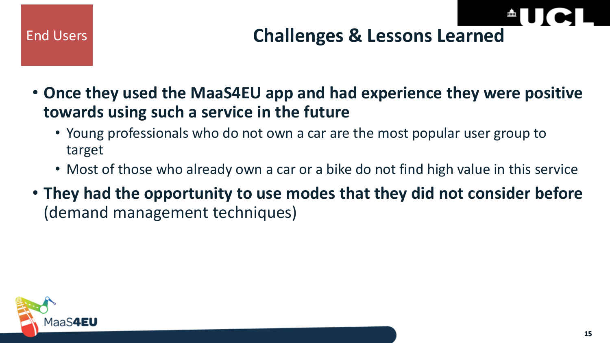### End Users

# **Challenges & Lessons Learned**

- **Once they used the MaaS4EU app and had experience they were positive towards using such a service in the future**
	- Young professionals who do not own a car are the most popular user group to target
	- Most of those who already own a car or a bike do not find high value in this service
- **They had the opportunity to use modes that they did not consider before** (demand management techniques)

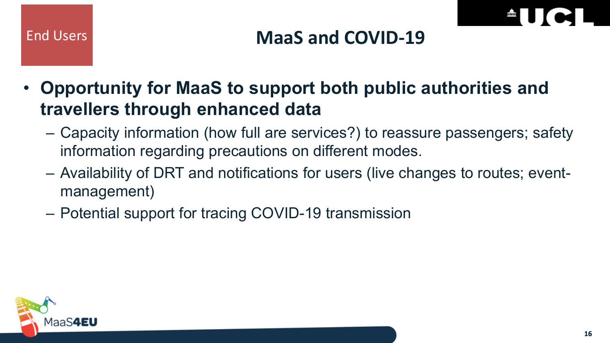



• **Opportunity for MaaS to support both public authorities and travellers through enhanced data**

- Capacity information (how full are services?) to reassure passengers; safety information regarding precautions on different modes.
- Availability of DRT and notifications for users (live changes to routes; eventmanagement)
- Potential support for tracing COVID-19 transmission

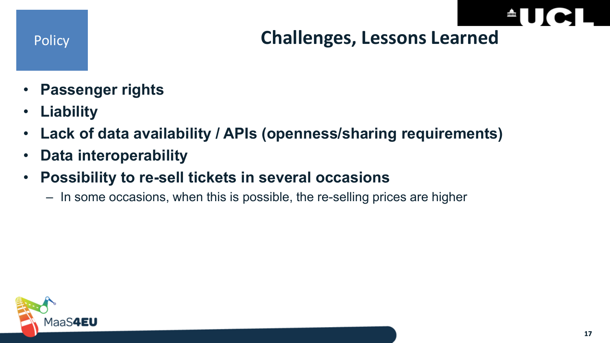### Policy **Challenges, Lessons Learned**

- **Passenger rights**
- **Liability**
- **Lack of data availability / APIs (openness/sharing requirements)**
- **Data interoperability**
- **Possibility to re-sell tickets in several occasions** 
	- In some occasions, when this is possible, the re-selling prices are higher

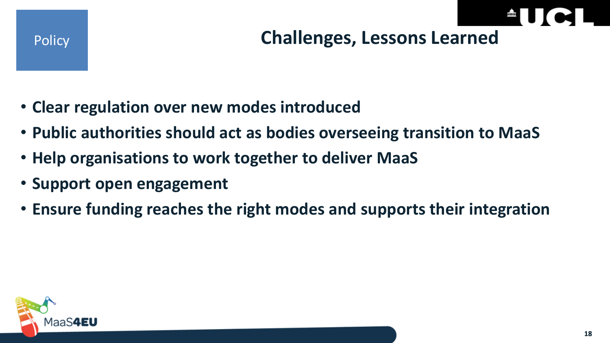

### **Challenges, Lessons Learned**

- **Clear regulation over new modes introduced**
- **Public authorities should act as bodies overseeing transition to MaaS**
- **Help organisations to work together to deliver MaaS**
- **Support open engagement**
- **Ensure funding reaches the right modes and supports their integration**

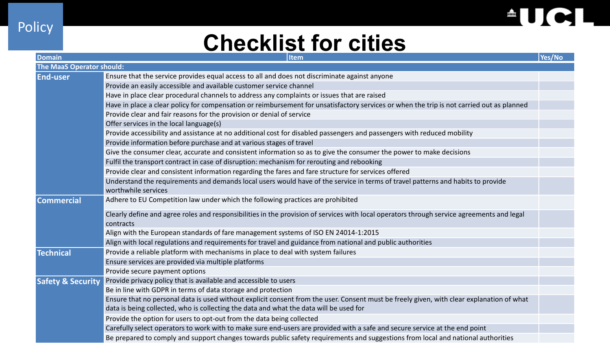

٠

### **Checklist for cities**

Policy

| <b>Domain</b>                    | <b>Item</b>                                                                                                                                             | Yes/No |
|----------------------------------|---------------------------------------------------------------------------------------------------------------------------------------------------------|--------|
| <b>The MaaS Operator should:</b> |                                                                                                                                                         |        |
| <b>End-user</b>                  | Ensure that the service provides equal access to all and does not discriminate against anyone                                                           |        |
|                                  | Provide an easily accessible and available customer service channel                                                                                     |        |
|                                  | Have in place clear procedural channels to address any complaints or issues that are raised                                                             |        |
|                                  | Have in place a clear policy for compensation or reimbursement for unsatisfactory services or when the trip is not carried out as planned               |        |
|                                  | Provide clear and fair reasons for the provision or denial of service                                                                                   |        |
|                                  | Offer services in the local language(s)                                                                                                                 |        |
|                                  | Provide accessibility and assistance at no additional cost for disabled passengers and passengers with reduced mobility                                 |        |
|                                  | Provide information before purchase and at various stages of travel                                                                                     |        |
|                                  | Give the consumer clear, accurate and consistent information so as to give the consumer the power to make decisions                                     |        |
|                                  | Fulfil the transport contract in case of disruption: mechanism for rerouting and rebooking                                                              |        |
|                                  | Provide clear and consistent information regarding the fares and fare structure for services offered                                                    |        |
|                                  | Understand the requirements and demands local users would have of the service in terms of travel patterns and habits to provide                         |        |
|                                  | worthwhile services                                                                                                                                     |        |
| <b>Commercial</b>                | Adhere to EU Competition law under which the following practices are prohibited                                                                         |        |
|                                  | Clearly define and agree roles and responsibilities in the provision of services with local operators through service agreements and legal<br>contracts |        |
|                                  | Align with the European standards of fare management systems of ISO EN 24014-1:2015                                                                     |        |
|                                  | Align with local regulations and requirements for travel and guidance from national and public authorities                                              |        |
| <b>Technical</b>                 | Provide a reliable platform with mechanisms in place to deal with system failures                                                                       |        |
|                                  | Ensure services are provided via multiple platforms                                                                                                     |        |
|                                  | Provide secure payment options                                                                                                                          |        |
| <b>Safety &amp; Security</b>     | Provide privacy policy that is available and accessible to users                                                                                        |        |
|                                  | Be in line with GDPR in terms of data storage and protection                                                                                            |        |
|                                  | Ensure that no personal data is used without explicit consent from the user. Consent must be freely given, with clear explanation of what               |        |
|                                  | data is being collected, who is collecting the data and what the data will be used for                                                                  |        |
|                                  | Provide the option for users to opt-out from the data being collected                                                                                   |        |
|                                  | Carefully select operators to work with to make sure end-users are provided with a safe and secure service at the end point                             |        |
|                                  | Be prepared to comply and support changes towards public safety requirements and suggestions from local and national authorities                        |        |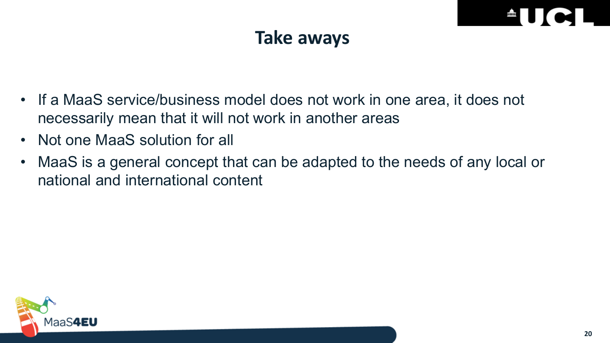### **Take aways**

- If a MaaS service/business model does not work in one area, it does not necessarily mean that it will not work in another areas
- Not one MaaS solution for all
- MaaS is a general concept that can be adapted to the needs of any local or national and international content

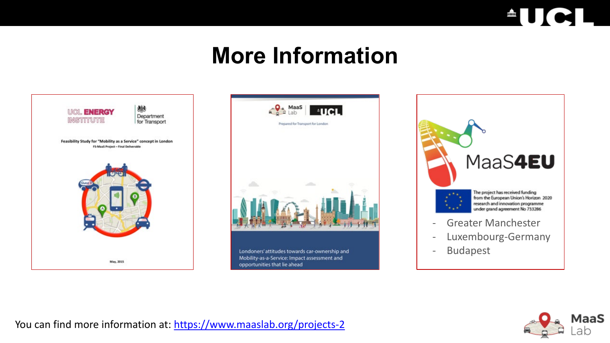

## **More Information**









- Luxembourg-Germany
- Budapest



You can find more information at: <https://www.maaslab.org/projects-2>